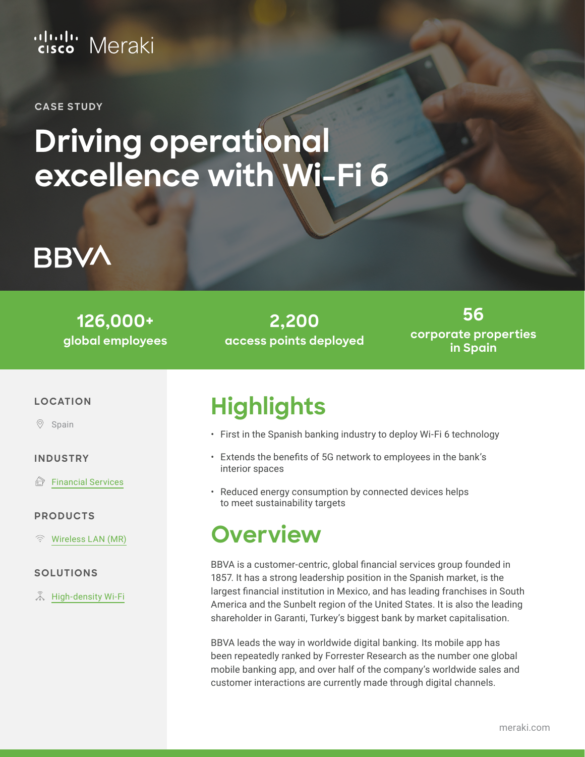### ululu Meraki

**CASE STUDY**

# **Driving operational excellence with Wi-Fi 6**



**126,000+ global employees**

**2,200 access points deployed**

**56 corporate properties in Spain**

#### **LOCATION**

 $\circledcirc$ Spain

#### **INDUSTRY**

 $\bigoplus$ [Financial Services](https://meraki.cisco.com/industries/financial-services/)

#### **PRODUCTS**

[Wireless LAN \(MR\)](https://meraki.cisco.com/products/wi-fi/) (<

#### **SOLUTIONS**

**ふ [High-density Wi-Fi](https://meraki.cisco.com/solutions/next-gen-wifi/)** 

### **Highlights**

- First in the Spanish banking industry to deploy Wi-Fi 6 technology
- Extends the benefits of 5G network to employees in the bank's interior spaces
- Reduced energy consumption by connected devices helps to meet sustainability targets

#### **Overview**

BBVA is a customer-centric, global financial services group founded in 1857. It has a strong leadership position in the Spanish market, is the largest financial institution in Mexico, and has leading franchises in South America and the Sunbelt region of the United States. It is also the leading shareholder in Garanti, Turkey's biggest bank by market capitalisation.

BBVA leads the way in worldwide digital banking. Its mobile app has been repeatedly ranked by Forrester Research as the number one global mobile banking app, and over half of the company's worldwide sales and customer interactions are currently made through digital channels.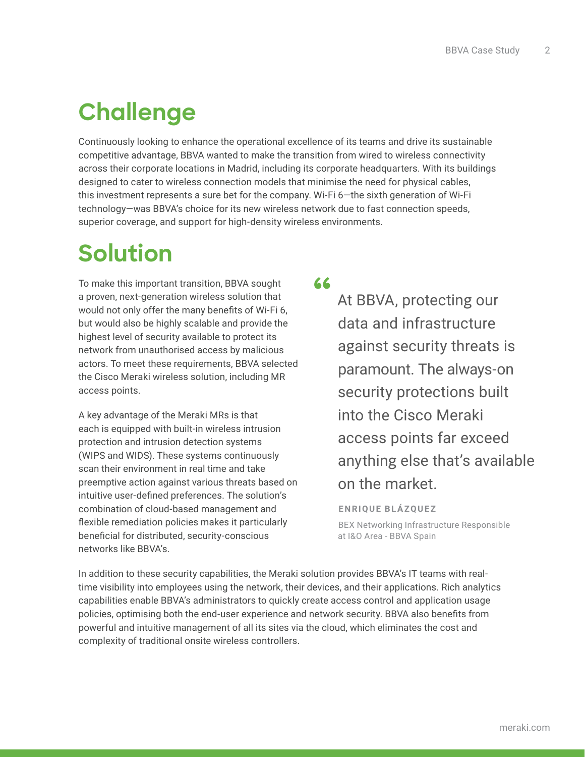### **Challenge**

Continuously looking to enhance the operational excellence of its teams and drive its sustainable competitive advantage, BBVA wanted to make the transition from wired to wireless connectivity across their corporate locations in Madrid, including its corporate headquarters. With its buildings designed to cater to wireless connection models that minimise the need for physical cables, this investment represents a sure bet for the company. Wi-Fi 6—the sixth generation of Wi-Fi technology—was BBVA's choice for its new wireless network due to fast connection speeds, superior coverage, and support for high-density wireless environments.

## **Solution**

To make this important transition, BBVA sought a proven, next-generation wireless solution that would not only offer the many benefits of Wi-Fi 6, but would also be highly scalable and provide the highest level of security available to protect its network from unauthorised access by malicious actors. To meet these requirements, BBVA selected the Cisco Meraki wireless solution, including MR access points.

A key advantage of the Meraki MRs is that each is equipped with built-in wireless intrusion protection and intrusion detection systems (WIPS and WIDS). These systems continuously scan their environment in real time and take preemptive action against various threats based on intuitive user-defined preferences. The solution's combination of cloud-based management and flexible remediation policies makes it particularly beneficial for distributed, security-conscious networks like BBVA's.

**"**

At BBVA, protecting our data and infrastructure against security threats is paramount. The always-on security protections built into the Cisco Meraki access points far exceed anything else that's available on the market.

**ENRIQUE BLÁZQUEZ**

BEX Networking Infrastructure Responsible at I&O Area - BBVA Spain

In addition to these security capabilities, the Meraki solution provides BBVA's IT teams with realtime visibility into employees using the network, their devices, and their applications. Rich analytics capabilities enable BBVA's administrators to quickly create access control and application usage policies, optimising both the end-user experience and network security. BBVA also benefits from powerful and intuitive management of all its sites via the cloud, which eliminates the cost and complexity of traditional onsite wireless controllers.